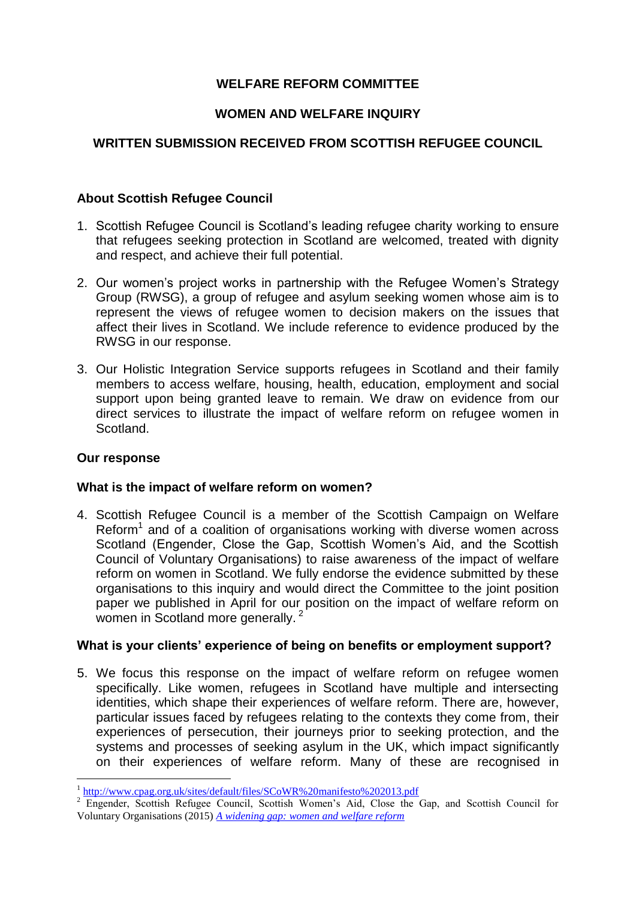# **WELFARE REFORM COMMITTEE**

## **WOMEN AND WELFARE INQUIRY**

# **WRITTEN SUBMISSION RECEIVED FROM SCOTTISH REFUGEE COUNCIL**

## **About Scottish Refugee Council**

- 1. Scottish Refugee Council is Scotland's leading refugee charity working to ensure that refugees seeking protection in Scotland are welcomed, treated with dignity and respect, and achieve their full potential.
- 2. Our women's project works in partnership with the Refugee Women's Strategy Group (RWSG), a group of refugee and asylum seeking women whose aim is to represent the views of refugee women to decision makers on the issues that affect their lives in Scotland. We include reference to evidence produced by the RWSG in our response.
- 3. Our Holistic Integration Service supports refugees in Scotland and their family members to access welfare, housing, health, education, employment and social support upon being granted leave to remain. We draw on evidence from our direct services to illustrate the impact of welfare reform on refugee women in Scotland.

### **Our response**

<u>.</u>

### **What is the impact of welfare reform on women?**

4. Scottish Refugee Council is a member of the Scottish Campaign on Welfare Reform<sup>1</sup> and of a coalition of organisations working with diverse women across Scotland (Engender, Close the Gap, Scottish Women's Aid, and the Scottish Council of Voluntary Organisations) to raise awareness of the impact of welfare reform on women in Scotland. We fully endorse the evidence submitted by these organisations to this inquiry and would direct the Committee to the joint position paper we published in April for our position on the impact of welfare reform on women in Scotland more generally.<sup>2</sup>

### **What is your clients' experience of being on benefits or employment support?**

5. We focus this response on the impact of welfare reform on refugee women specifically. Like women, refugees in Scotland have multiple and intersecting identities, which shape their experiences of welfare reform. There are, however, particular issues faced by refugees relating to the contexts they come from, their experiences of persecution, their journeys prior to seeking protection, and the systems and processes of seeking asylum in the UK, which impact significantly on their experiences of welfare reform. Many of these are recognised in

<sup>&</sup>lt;sup>1</sup> <http://www.cpag.org.uk/sites/default/files/SCoWR%20manifesto%202013.pdf>

<sup>&</sup>lt;sup>2</sup> Engender, Scottish Refugee Council, Scottish Women's Aid, Close the Gap, and Scottish Council for Voluntary Organisations (2015) *[A widening gap: women and welfare reform](http://www.engender.org.uk/content/publications/A-Widening-Gap---Women-and-Welfare-Reform.pdf)*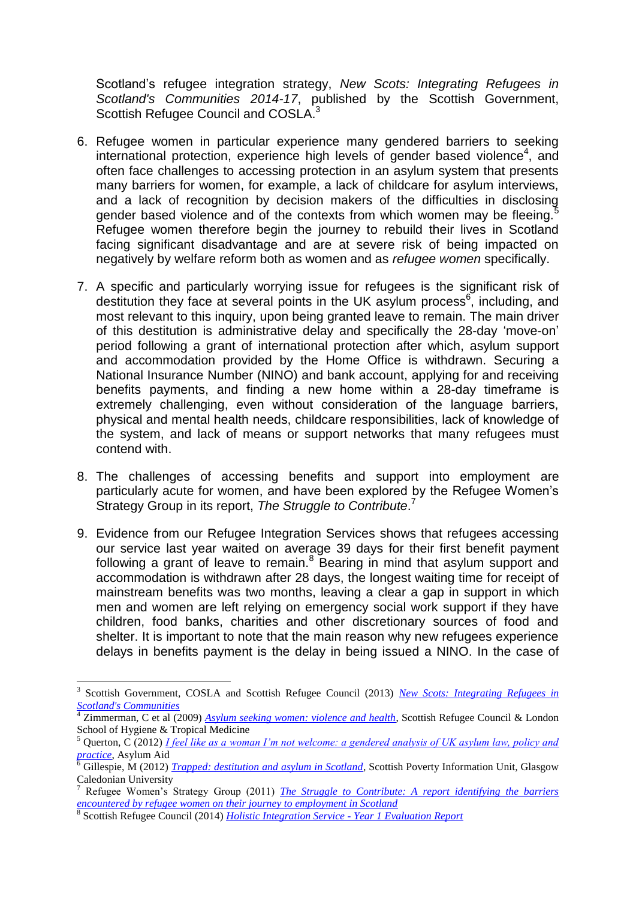Scotland's refugee integration strategy, *New Scots: Integrating Refugees in Scotland's Communities 2014-17*, published by the Scottish Government, Scottish Refugee Council and COSLA.<sup>3</sup>

- 6. Refugee women in particular experience many gendered barriers to seeking international protection, experience high levels of gender based violence<sup>4</sup>, and often face challenges to accessing protection in an asylum system that presents many barriers for women, for example, a lack of childcare for asylum interviews, and a lack of recognition by decision makers of the difficulties in disclosing gender based violence and of the contexts from which women may be fleeing.<sup>5</sup> Refugee women therefore begin the journey to rebuild their lives in Scotland facing significant disadvantage and are at severe risk of being impacted on negatively by welfare reform both as women and as *refugee women* specifically.
- 7. A specific and particularly worrying issue for refugees is the significant risk of destitution they face at several points in the UK asylum process<sup>6</sup>, including, and most relevant to this inquiry, upon being granted leave to remain. The main driver of this destitution is administrative delay and specifically the 28-day 'move-on' period following a grant of international protection after which, asylum support and accommodation provided by the Home Office is withdrawn. Securing a National Insurance Number (NINO) and bank account, applying for and receiving benefits payments, and finding a new home within a 28-day timeframe is extremely challenging, even without consideration of the language barriers, physical and mental health needs, childcare responsibilities, lack of knowledge of the system, and lack of means or support networks that many refugees must contend with.
- 8. The challenges of accessing benefits and support into employment are particularly acute for women, and have been explored by the Refugee Women's Strategy Group in its report, *The Struggle to Contribute*. 7
- 9. Evidence from our Refugee Integration Services shows that refugees accessing our service last year waited on average 39 days for their first benefit payment following a grant of leave to remain.<sup>8</sup> Bearing in mind that asylum support and accommodation is withdrawn after 28 days, the longest waiting time for receipt of mainstream benefits was two months, leaving a clear a gap in support in which men and women are left relying on emergency social work support if they have children, food banks, charities and other discretionary sources of food and shelter. It is important to note that the main reason why new refugees experience delays in benefits payment is the delay in being issued a NINO. In the case of

1

<sup>&</sup>lt;sup>3</sup> Scottish Government, COSLA and Scottish Refugee Council (2013) *New Scots: Integrating Refugees in [Scotland's Communities](http://www.gov.scot/Resource/0043/00439604.pdf)*

<sup>&</sup>lt;sup>4</sup> Zimmerman, C et al (2009) *[Asylum seeking women: violence and health](http://www.scottishrefugeecouncil.org.uk/assets/0000/0097/Asylum_seeking_women_violence_and_health.pdf)*, Scottish Refugee Council & London School of Hygiene & Tropical Medicine

<sup>5</sup> Querton, C (2012) *[I feel like as a woman I'm not welcome: a gendered analysis of UK asylum law, policy and](http://d356gh0apz9rk0.cloudfront.net/wp-content/uploads/2013/02/ifeelasawoman_report_web_.pdf)  [practice](http://d356gh0apz9rk0.cloudfront.net/wp-content/uploads/2013/02/ifeelasawoman_report_web_.pdf)*, Asylum Aid

<sup>&</sup>lt;sup>6</sup> Gillespie, M (2012) *[Trapped: destitution and asylum in Scotland](http://www.scottishrefugeecouncil.org.uk/assets/0000/5050/Trapped_destitution_and_asylum_final.pdf)*, Scottish Poverty Information Unit, Glasgow Caledonian University

<sup>7</sup> Refugee Women's Strategy Group (2011) *[The Struggle to Contribute: A report identifying the barriers](http://www.scottishrefugeecouncil.org.uk/assets/0000/6534/RWSG_The_Struggle_to_Contribute_2011.pdf)  [encountered by refugee women on their journey to employment in Scotland](http://www.scottishrefugeecouncil.org.uk/assets/0000/6534/RWSG_The_Struggle_to_Contribute_2011.pdf)* 8 Scottish Refugee Council (2014) *[Holistic Integration Service -](http://www.scottishrefugeecouncil.org.uk/assets/8576/Holistic_Integration_Service_-_year_1_evaluation_report.pdf) Year 1 Evaluation Report*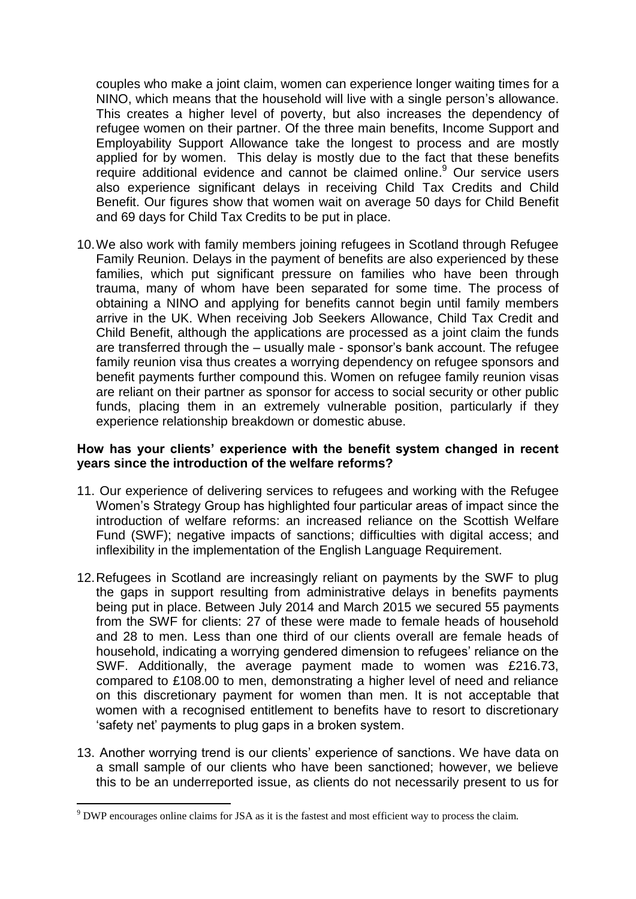couples who make a joint claim, women can experience longer waiting times for a NINO, which means that the household will live with a single person's allowance. This creates a higher level of poverty, but also increases the dependency of refugee women on their partner. Of the three main benefits, Income Support and Employability Support Allowance take the longest to process and are mostly applied for by women. This delay is mostly due to the fact that these benefits require additional evidence and cannot be claimed online. <sup>9</sup> Our service users also experience significant delays in receiving Child Tax Credits and Child Benefit. Our figures show that women wait on average 50 days for Child Benefit and 69 days for Child Tax Credits to be put in place.

10.We also work with family members joining refugees in Scotland through Refugee Family Reunion. Delays in the payment of benefits are also experienced by these families, which put significant pressure on families who have been through trauma, many of whom have been separated for some time. The process of obtaining a NINO and applying for benefits cannot begin until family members arrive in the UK. When receiving Job Seekers Allowance, Child Tax Credit and Child Benefit, although the applications are processed as a joint claim the funds are transferred through the – usually male - sponsor's bank account. The refugee family reunion visa thus creates a worrying dependency on refugee sponsors and benefit payments further compound this. Women on refugee family reunion visas are reliant on their partner as sponsor for access to social security or other public funds, placing them in an extremely vulnerable position, particularly if they experience relationship breakdown or domestic abuse.

#### **How has your clients' experience with the benefit system changed in recent years since the introduction of the welfare reforms?**

- 11. Our experience of delivering services to refugees and working with the Refugee Women's Strategy Group has highlighted four particular areas of impact since the introduction of welfare reforms: an increased reliance on the Scottish Welfare Fund (SWF); negative impacts of sanctions; difficulties with digital access; and inflexibility in the implementation of the English Language Requirement.
- 12.Refugees in Scotland are increasingly reliant on payments by the SWF to plug the gaps in support resulting from administrative delays in benefits payments being put in place. Between July 2014 and March 2015 we secured 55 payments from the SWF for clients: 27 of these were made to female heads of household and 28 to men. Less than one third of our clients overall are female heads of household, indicating a worrying gendered dimension to refugees' reliance on the SWF. Additionally, the average payment made to women was £216.73, compared to £108.00 to men, demonstrating a higher level of need and reliance on this discretionary payment for women than men. It is not acceptable that women with a recognised entitlement to benefits have to resort to discretionary 'safety net' payments to plug gaps in a broken system.
- 13. Another worrying trend is our clients' experience of sanctions. We have data on a small sample of our clients who have been sanctioned; however, we believe this to be an underreported issue, as clients do not necessarily present to us for

1

<sup>&</sup>lt;sup>9</sup> DWP encourages online claims for JSA as it is the fastest and most efficient way to process the claim.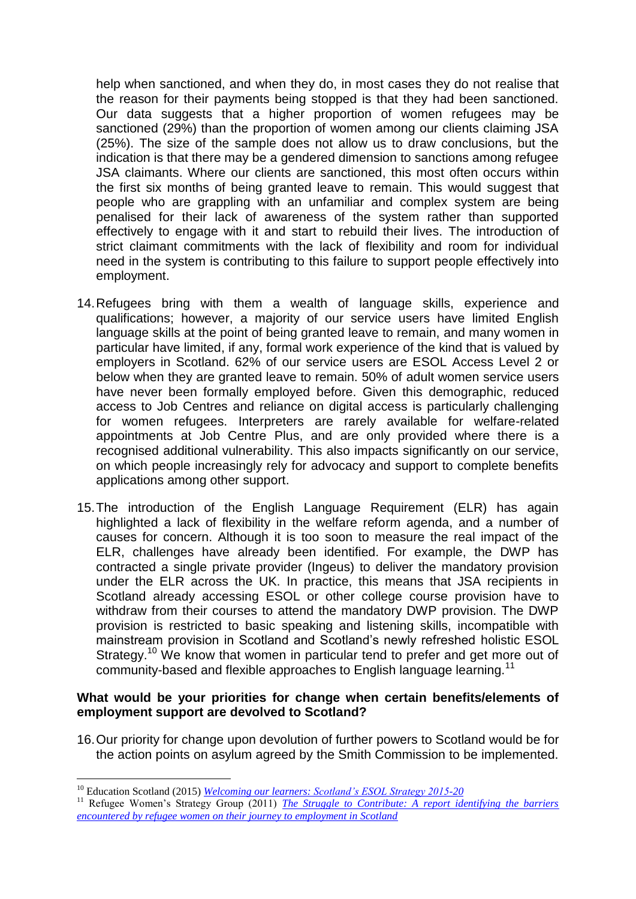help when sanctioned, and when they do, in most cases they do not realise that the reason for their payments being stopped is that they had been sanctioned. Our data suggests that a higher proportion of women refugees may be sanctioned (29%) than the proportion of women among our clients claiming JSA (25%). The size of the sample does not allow us to draw conclusions, but the indication is that there may be a gendered dimension to sanctions among refugee JSA claimants. Where our clients are sanctioned, this most often occurs within the first six months of being granted leave to remain. This would suggest that people who are grappling with an unfamiliar and complex system are being penalised for their lack of awareness of the system rather than supported effectively to engage with it and start to rebuild their lives. The introduction of strict claimant commitments with the lack of flexibility and room for individual need in the system is contributing to this failure to support people effectively into employment.

- 14.Refugees bring with them a wealth of language skills, experience and qualifications; however, a majority of our service users have limited English language skills at the point of being granted leave to remain, and many women in particular have limited, if any, formal work experience of the kind that is valued by employers in Scotland. 62% of our service users are ESOL Access Level 2 or below when they are granted leave to remain. 50% of adult women service users have never been formally employed before. Given this demographic, reduced access to Job Centres and reliance on digital access is particularly challenging for women refugees. Interpreters are rarely available for welfare-related appointments at Job Centre Plus, and are only provided where there is a recognised additional vulnerability. This also impacts significantly on our service, on which people increasingly rely for advocacy and support to complete benefits applications among other support.
- 15.The introduction of the English Language Requirement (ELR) has again highlighted a lack of flexibility in the welfare reform agenda, and a number of causes for concern. Although it is too soon to measure the real impact of the ELR, challenges have already been identified. For example, the DWP has contracted a single private provider (Ingeus) to deliver the mandatory provision under the ELR across the UK. In practice, this means that JSA recipients in Scotland already accessing ESOL or other college course provision have to withdraw from their courses to attend the mandatory DWP provision. The DWP provision is restricted to basic speaking and listening skills, incompatible with mainstream provision in Scotland and Scotland's newly refreshed holistic ESOL Strategy.<sup>10</sup> We know that women in particular tend to prefer and get more out of community-based and flexible approaches to English language learning.<sup>11</sup>

#### **What would be your priorities for change when certain benefits/elements of employment support are devolved to Scotland?**

16.Our priority for change upon devolution of further powers to Scotland would be for the action points on asylum agreed by the Smith Commission to be implemented.

<u>.</u>

<sup>11</sup> Refugee Women's Strategy Group (2011) *The Struggle to Contribute: A report identifying the barriers [encountered by refugee women on their journey to employment in Scotland](http://www.scottishrefugeecouncil.org.uk/assets/0000/6534/RWSG_The_Struggle_to_Contribute_2011.pdf)*

<sup>&</sup>lt;sup>10</sup> Education Scotland (2015) *[Welcoming our learners: Scotland's ESOL Strategy 2015-20](http://www.educationscotland.gov.uk/Images/ESOLStrategy2015to2020_tcm4-855848.pdf)*